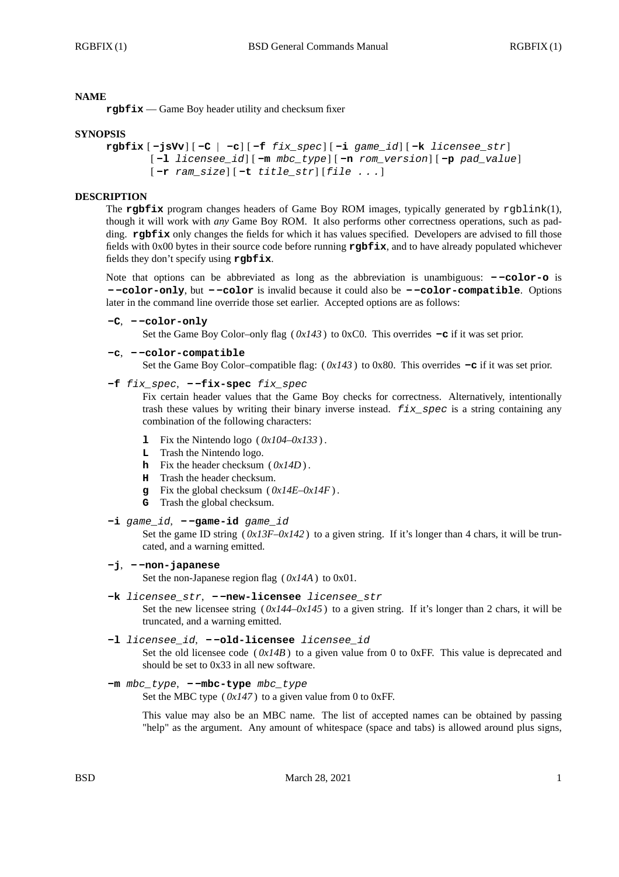### **NAME**

**rgbfix** — Game Boy header utility and checksum fixer

### **SYNOPSIS**

```
rgbfix [ -jsVv] [ -C | -c] [ -f fix_spec] [ -i game_id] [ -k licensee_str]
[ -l licensee_id] [ -m mbc_type] [ -n rom_version] [ -p pad_value]
[ -r ram_size] [ -t title_str] [file . . .]
```
### **DESCRIPTION**

The **rgbfix** program changes headers of Game Boy ROM images, typically generated by rgblink(1), though it will work with *any* Game Boy ROM. It also performs other correctness operations, such as padding. **rgbfix** only changes the fields for which it has values specified. Developers are advised to fill those fields with 0x00 bytes in their source code before running **rgbfix**, and to have already populated whichever fields they don't specify using **rgbfix**.

Note that options can be abbreviated as long as the abbreviation is unambiguous: **- -color-o** is **- -color-only**, but **- -color** is invalid because it could also be **- -color-compatible**. Options later in the command line override those set earlier. Accepted options are as follows:

```
-C, - -color-only
```
Set the Game Boy Color–only flag ( *0x143* ) to 0xC0. This overrides **-c** if it was set prior.

```
-c, - -color-compatible
```
Set the Game Boy Color–compatible flag: ( *0x143* ) to 0x80. This overrides **-c** if it was set prior.

**-f** *fix\_spec*, **- -fix-spec** *fix\_spec*

Fix certain header values that the Game Boy checks for correctness. Alternatively, intentionally trash these values by writing their binary inverse instead. *fix\_spec* is a string containing any combination of the following characters:

- **1** Fix the Nintendo logo ( $0x104-0x133$ ).
- **L** Trash the Nintendo logo.
- **h** Fix the header checksum ( *0x14D* ) .
- **H** Trash the header checksum.
- **g** Fix the global checksum ( *0x14E*–*0x14F* ) .
- **G** Trash the global checksum.
- **-i** *game\_id*,  **-game-id** *game\_id*

Set the game ID string  $(0x13F-0x142)$  to a given string. If it's longer than 4 chars, it will be truncated, and a warning emitted.

**-j**, **- -non-japanese**

Set the non-Japanese region flag ( *0x14A* ) to 0x01.

- **-k** *licensee\_str*,  **-new-licensee** *licensee\_str* Set the new licensee string  $(0x144-0x145)$  to a given string. If it's longer than 2 chars, it will be truncated, and a warning emitted.
- **-l** *licensee\_id*,  **-old-licensee** *licensee\_id* Set the old licensee code  $(0x/4B)$  to a given value from 0 to 0xFF. This value is deprecated and should be set to 0x33 in all new software.

```
-m mbc_type, - -mbc-type mbc_type
```
Set the MBC type  $(0x147)$  to a given value from 0 to 0xFF.

This value may also be an MBC name. The list of accepted names can be obtained by passing "help" as the argument. Any amount of whitespace (space and tabs) is allowed around plus signs,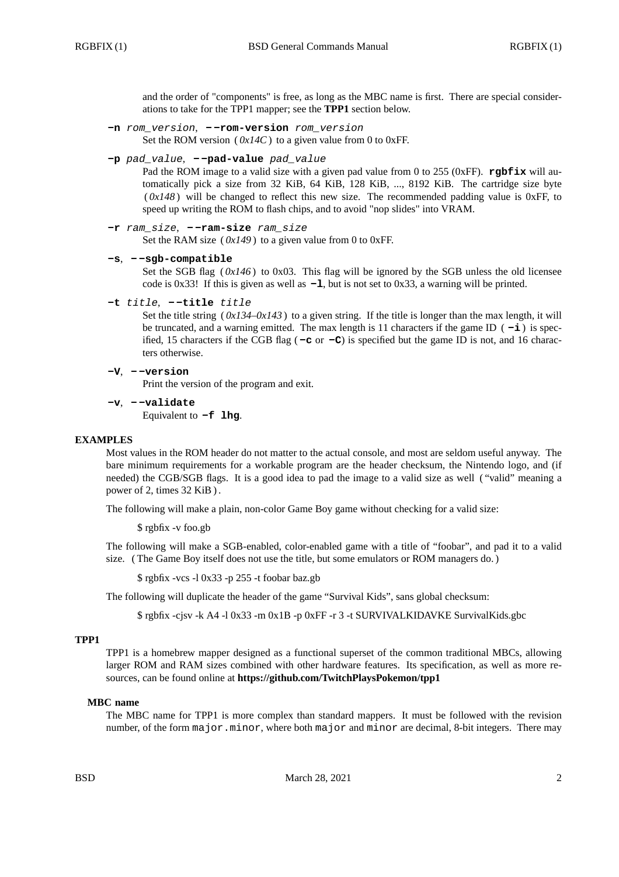and the order of "components" is free, as long as the MBC name is first. There are special considerations to take for the TPP1 mapper; see the **TPP1** section below.

- **-n** *rom\_version*,  **-rom-version** *rom\_version* Set the ROM version ( $0x14C$ ) to a given value from 0 to 0xFF.
- **-p** *pad\_value*,  **-pad-value** *pad\_value*

Pad the ROM image to a valid size with a given pad value from 0 to 255 (0xFF). **rgbfix** will automatically pick a size from 32 KiB, 64 KiB, 128 KiB, ..., 8192 KiB. The cartridge size byte  $(0x148)$  will be changed to reflect this new size. The recommended padding value is 0xFF, to speed up writing the ROM to flash chips, and to avoid "nop slides" into VRAM.

```
-r ram_size, - -ram-size ram_size
```
Set the RAM size  $(0x149)$  to a given value from 0 to 0xFF.

```
-s, - -sgb-compatible
```
Set the SGB flag ( $0x146$ ) to 0x03. This flag will be ignored by the SGB unless the old licensee code is 0x33! If this is given as well as **-l**, but is not set to 0x33, a warning will be printed.

```
-t title, - -title title
```
Set the title string  $(0x/34-0x/43)$  to a given string. If the title is longer than the max length, it will be truncated, and a warning emitted. The max length is 11 characters if the game ID  $(-i)$  is specified, 15 characters if the CGB flag ( **-c** or **-C**) is specified but the game ID is not, and 16 characters otherwise.

```
-V, - -version
```
Print the version of the program and exit.

**-v**, **- -validate** Equivalent to **-f lhg**.

# **EXAMPLES**

Most values in the ROM header do not matter to the actual console, and most are seldom useful anyway. The bare minimum requirements for a workable program are the header checksum, the Nintendo logo, and (if needed) the CGB/SGB flags. It is a good idea to pad the image to a valid size as well ( "valid" meaning a power of 2, times 32 KiB ) .

The following will make a plain, non-color Game Boy game without checking for a valid size:

\$ rgbfix -v foo.gb

The following will make a SGB-enabled, color-enabled game with a title of "foobar", and pad it to a valid size. ( The Game Boy itself does not use the title, but some emulators or ROM managers do. )

\$ rgbfix -vcs -l 0x33 -p 255 -t foobar baz.gb

The following will duplicate the header of the game "Survival Kids", sans global checksum:

\$ rgbfix -cjsv -k A4 -l 0x33 -m 0x1B -p 0xFF -r 3 -t SURVIVALKIDAVKE SurvivalKids.gbc

### **TPP1**

TPP1 is a homebrew mapper designed as a functional superset of the common traditional MBCs, allowing larger ROM and RAM sizes combined with other hardware features. Its specification, as well as more resources, can be found online at **https://github.com/TwitchPlaysPokemon/tpp1**

### **MBC name**

The MBC name for TPP1 is more complex than standard mappers. It must be followed with the revision number, of the form major.minor, where both major and minor are decimal, 8-bit integers. There may